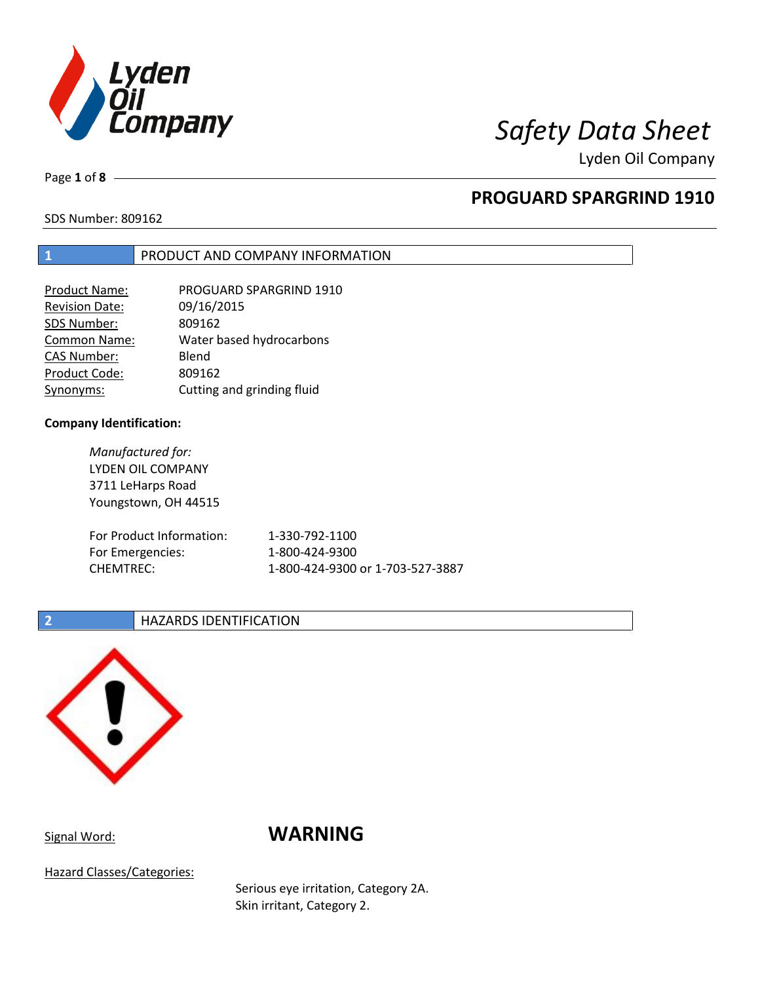

Lyden Oil Company

Page **1** of **8**

# **PROGUARD SPARGRIND 1910**

SDS Number: 809162

## **1** PRODUCT AND COMPANY INFORMATION

| Product Name:         | PROGUARD SPARGRIND 1910    |
|-----------------------|----------------------------|
| <b>Revision Date:</b> | 09/16/2015                 |
| SDS Number:           | 809162                     |
| <b>Common Name:</b>   | Water based hydrocarbons   |
| <b>CAS Number:</b>    | Blend                      |
| Product Code:         | 809162                     |
| Synonyms:             | Cutting and grinding fluid |

### **Company Identification:**

*Manufactured for:* LYDEN OIL COMPANY 3711 LeHarps Road Youngstown, OH 44515 For Product Information: 1-330-792-1100 For Emergencies: 1-800-424-9300 CHEMTREC: 1-800-424-9300 or 1-703-527-3887

### **2 HAZARDS IDENTIFICATION**



# Signal Word: **WARNING**

Hazard Classes/Categories:

Serious eye irritation, Category 2A. Skin irritant, Category 2.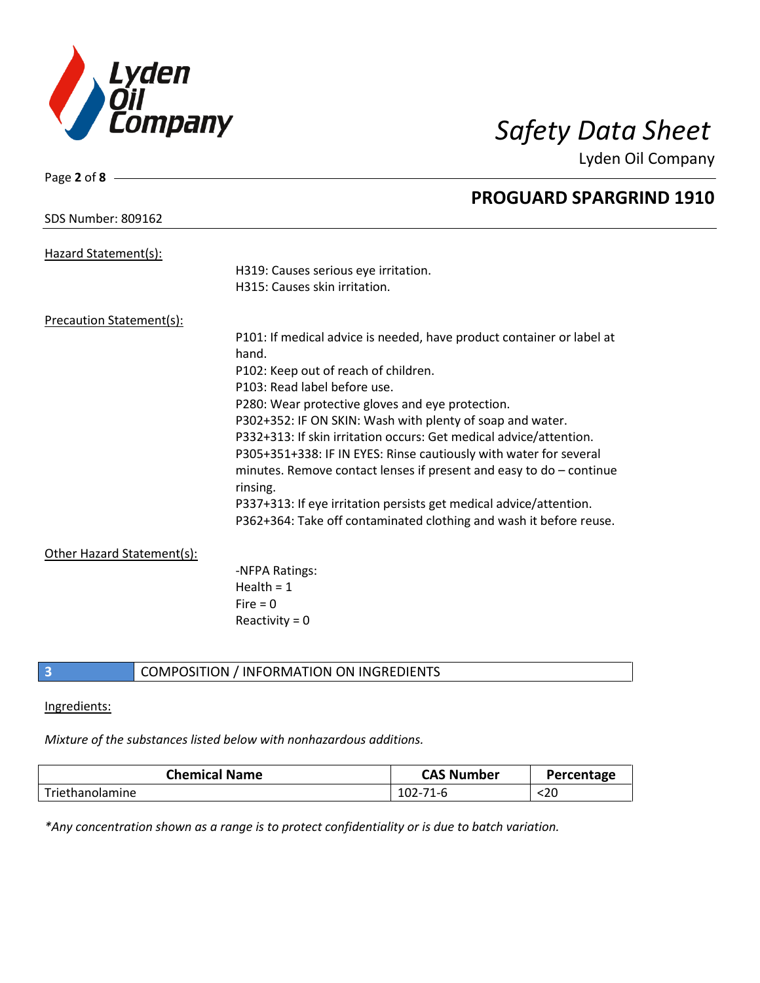

Lyden Oil Company

| Page 2 of 8                     |                                                                       |
|---------------------------------|-----------------------------------------------------------------------|
|                                 | <b>PROGUARD SPARGRIND 1910</b>                                        |
| <b>SDS Number: 809162</b>       |                                                                       |
|                                 |                                                                       |
| Hazard Statement(s):            | H319: Causes serious eye irritation.                                  |
|                                 | H315: Causes skin irritation.                                         |
|                                 |                                                                       |
| <b>Precaution Statement(s):</b> |                                                                       |
|                                 | P101: If medical advice is needed, have product container or label at |
|                                 | hand.                                                                 |
|                                 | P102: Keep out of reach of children.                                  |
|                                 | P103: Read label before use.                                          |
|                                 | P280: Wear protective gloves and eye protection.                      |
|                                 | P302+352: IF ON SKIN: Wash with plenty of soap and water.             |
|                                 | P332+313: If skin irritation occurs: Get medical advice/attention.    |
|                                 | P305+351+338: IF IN EYES: Rinse cautiously with water for several     |
|                                 | minutes. Remove contact lenses if present and easy to $do$ – continue |
|                                 | rinsing.                                                              |
|                                 | P337+313: If eye irritation persists get medical advice/attention.    |
|                                 | P362+364: Take off contaminated clothing and wash it before reuse.    |
| Other Hazard Statement(s):      |                                                                       |
|                                 | -NFPA Ratings:                                                        |
|                                 | Health = $1$                                                          |
|                                 | Fire $= 0$                                                            |
|                                 | Reactivity = $0$                                                      |
|                                 |                                                                       |

# **3** COMPOSITION / INFORMATION ON INGREDIENTS

### Ingredients:

# *Mixture of the substances listed below with nonhazardous additions.*

| <b>Chemical Name</b> | <b>CAS Number</b> | Percentage |
|----------------------|-------------------|------------|
| Triethanolamine      | $102 - 71 - 6$    | <20        |

*\*Any concentration shown as a range is to protect confidentiality or is due to batch variation.*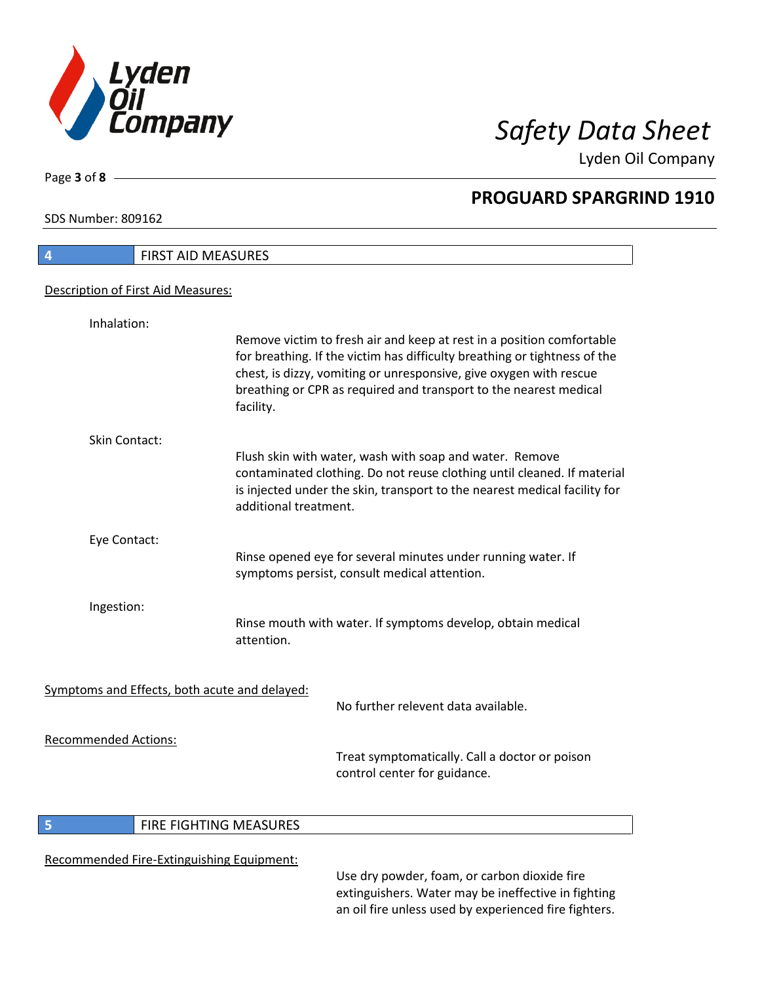

Lyden Oil Company

SDS Number: 809162

Page **3** of **8**

 $\overline{\phantom{a}}$ 

| $\overline{4}$              | <b>FIRST AID MEASURES</b>                                                                                                                                                                                                                                                                                  |
|-----------------------------|------------------------------------------------------------------------------------------------------------------------------------------------------------------------------------------------------------------------------------------------------------------------------------------------------------|
|                             | Description of First Aid Measures:                                                                                                                                                                                                                                                                         |
| Inhalation:                 |                                                                                                                                                                                                                                                                                                            |
|                             | Remove victim to fresh air and keep at rest in a position comfortable<br>for breathing. If the victim has difficulty breathing or tightness of the<br>chest, is dizzy, vomiting or unresponsive, give oxygen with rescue<br>breathing or CPR as required and transport to the nearest medical<br>facility. |
| <b>Skin Contact:</b>        |                                                                                                                                                                                                                                                                                                            |
|                             | Flush skin with water, wash with soap and water. Remove<br>contaminated clothing. Do not reuse clothing until cleaned. If material<br>is injected under the skin, transport to the nearest medical facility for<br>additional treatment.                                                                   |
| Eye Contact:                |                                                                                                                                                                                                                                                                                                            |
|                             | Rinse opened eye for several minutes under running water. If<br>symptoms persist, consult medical attention.                                                                                                                                                                                               |
| Ingestion:                  |                                                                                                                                                                                                                                                                                                            |
|                             | Rinse mouth with water. If symptoms develop, obtain medical<br>attention.                                                                                                                                                                                                                                  |
|                             | Symptoms and Effects, both acute and delayed:                                                                                                                                                                                                                                                              |
|                             | No further relevent data available.                                                                                                                                                                                                                                                                        |
| <b>Recommended Actions:</b> | Treat symptomatically. Call a doctor or poison<br>control center for guidance.                                                                                                                                                                                                                             |

# **5 FIRE FIGHTING MEASURES**

# Recommended Fire-Extinguishing Equipment:

Use dry powder, foam, or carbon dioxide fire extinguishers. Water may be ineffective in fighting an oil fire unless used by experienced fire fighters.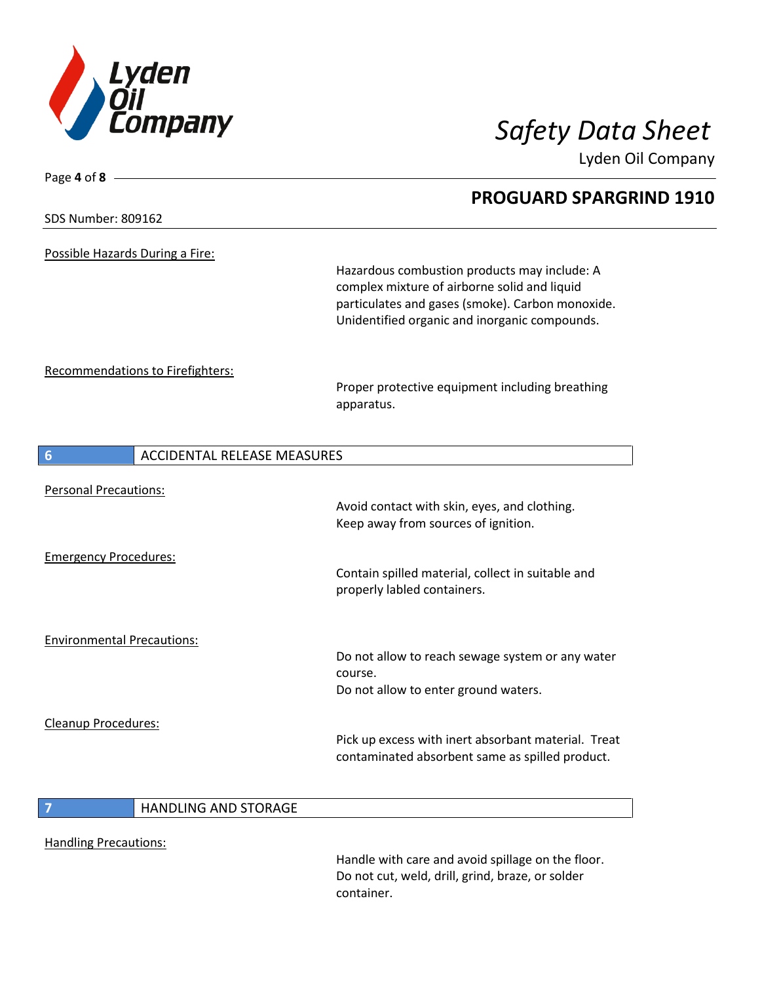

Page **4** of **8**

Lyden Oil Company

| <b>SDS Number: 809162</b>               | <b>PROGUARD SPARGRIND 1910</b>                                                                                                                                                                    |
|-----------------------------------------|---------------------------------------------------------------------------------------------------------------------------------------------------------------------------------------------------|
| Possible Hazards During a Fire:         | Hazardous combustion products may include: A<br>complex mixture of airborne solid and liquid<br>particulates and gases (smoke). Carbon monoxide.<br>Unidentified organic and inorganic compounds. |
| Recommendations to Firefighters:        | Proper protective equipment including breathing<br>apparatus.                                                                                                                                     |
| <b>ACCIDENTAL RELEASE MEASURES</b><br>6 |                                                                                                                                                                                                   |
| <b>Personal Precautions:</b>            | Avoid contact with skin, eyes, and clothing.<br>Keep away from sources of ignition.                                                                                                               |
| <b>Emergency Procedures:</b>            | Contain spilled material, collect in suitable and<br>properly labled containers.                                                                                                                  |
| <b>Environmental Precautions:</b>       | Do not allow to reach sewage system or any water<br>course.<br>Do not allow to enter ground waters.                                                                                               |
| Cleanup Procedures:                     | Pick up excess with inert absorbant material. Treat<br>contaminated absorbent same as spilled product.                                                                                            |
| <b>HANDLING AND STORAGE</b>             |                                                                                                                                                                                                   |

Handling Precautions:

Handle with care and avoid spillage on the floor. Do not cut, weld, drill, grind, braze, or solder container.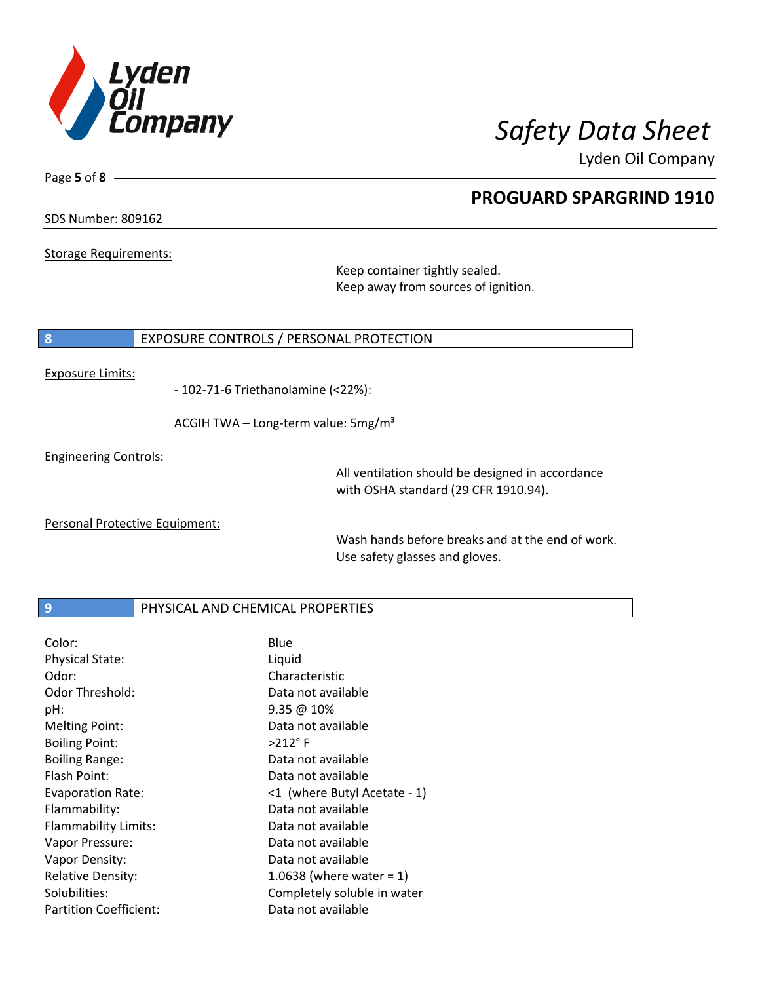

Lyden Oil Company

SDS Number: 809162

Page **5** of **8**

Storage Requirements:

Keep container tightly sealed. Keep away from sources of ignition.

### **8** EXPOSURE CONTROLS / PERSONAL PROTECTION

### Exposure Limits:

- 102-71-6 Triethanolamine (<22%):

ACGIH TWA - Long-term value: 5mg/m<sup>3</sup>

Engineering Controls:

All ventilation should be designed in accordance with OSHA standard (29 CFR 1910.94).

Personal Protective Equipment:

Wash hands before breaks and at the end of work. Use safety glasses and gloves.

### **9 PHYSICAL AND CHEMICAL PROPERTIES**

| Color:                        | Blue                         |
|-------------------------------|------------------------------|
| <b>Physical State:</b>        | Liquid                       |
| Odor:                         | Characteristic               |
| Odor Threshold:               | Data not available           |
| pH:                           | $9.35 \ @ 10\%$              |
| <b>Melting Point:</b>         | Data not available           |
| <b>Boiling Point:</b>         | $>212$ °F                    |
| <b>Boiling Range:</b>         | Data not available           |
| Flash Point:                  | Data not available           |
| <b>Evaporation Rate:</b>      | <1 (where Butyl Acetate - 1) |
| Flammability:                 | Data not available           |
| Flammability Limits:          | Data not available           |
| Vapor Pressure:               | Data not available           |
| Vapor Density:                | Data not available           |
| <b>Relative Density:</b>      | 1.0638 (where water = $1$ )  |
| Solubilities:                 | Completely soluble in water  |
| <b>Partition Coefficient:</b> | Data not available           |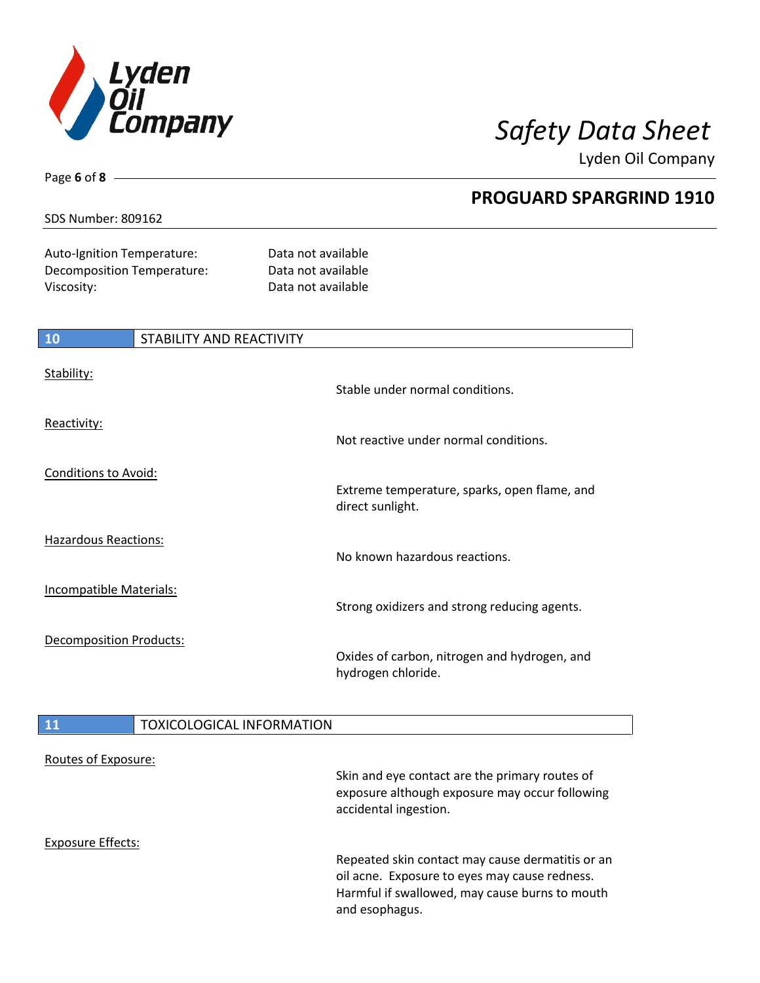

Lyden Oil Company

### SDS Number: 809162

Page **6** of **8**

Auto-Ignition Temperature: Data not available Decomposition Temperature: Data not available Viscosity: Viscosity: 2002 12:20 2012 12:20 2012 12:20 2012 12:20 2012 12:20 2012 12:20 2012 12:20 2012 12:20

| <b>10</b>                      | STABILITY AND REACTIVITY |                                                                    |
|--------------------------------|--------------------------|--------------------------------------------------------------------|
| Stability:                     |                          | Stable under normal conditions.                                    |
| Reactivity:                    |                          | Not reactive under normal conditions.                              |
| <b>Conditions to Avoid:</b>    |                          | Extreme temperature, sparks, open flame, and<br>direct sunlight.   |
| <b>Hazardous Reactions:</b>    |                          | No known hazardous reactions.                                      |
| <b>Incompatible Materials:</b> |                          | Strong oxidizers and strong reducing agents.                       |
| <b>Decomposition Products:</b> |                          | Oxides of carbon, nitrogen and hydrogen, and<br>hydrogen chloride. |

# **11** TOXICOLOGICAL INFORMATION

| Routes of Exposure: |                                                                                                                                                                       |
|---------------------|-----------------------------------------------------------------------------------------------------------------------------------------------------------------------|
|                     | Skin and eye contact are the primary routes of<br>exposure although exposure may occur following<br>accidental ingestion.                                             |
| Exposure Effects:   |                                                                                                                                                                       |
|                     | Repeated skin contact may cause dermatitis or an<br>oil acne. Exposure to eyes may cause redness.<br>Harmful if swallowed, may cause burns to mouth<br>and esophagus. |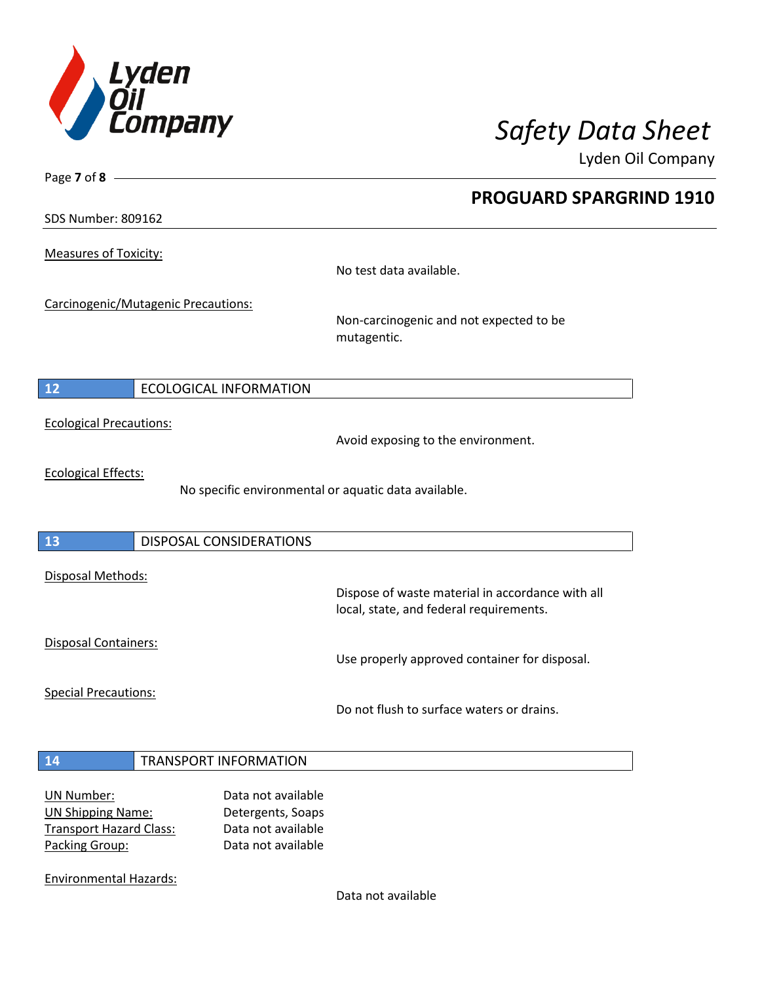

Lyden Oil Company

SDS Number: 809162

Page **7** of **8**

Measures of Toxicity:

No test data available.

Carcinogenic/Mutagenic Precautions:

Non-carcinogenic and not expected to be mutagentic.

# **12** ECOLOGICAL INFORMATION

Ecological Precautions:

Avoid exposing to the environment.

Ecological Effects:

No specific environmental or aquatic data available.

### **13** DISPOSAL CONSIDERATIONS

Disposal Methods:

Disposal Containers:

Use properly approved container for disposal.

Dispose of waste material in accordance with all

Special Precautions:

Do not flush to surface waters or drains.

local, state, and federal requirements.

### **14** TRANSPORT INFORMATION

| UN Number:                     | Data not available |
|--------------------------------|--------------------|
| <b>UN Shipping Name:</b>       | Detergents, Soaps  |
| <b>Transport Hazard Class:</b> | Data not available |
| Packing Group:                 | Data not available |

Environmental Hazards:

Data not available